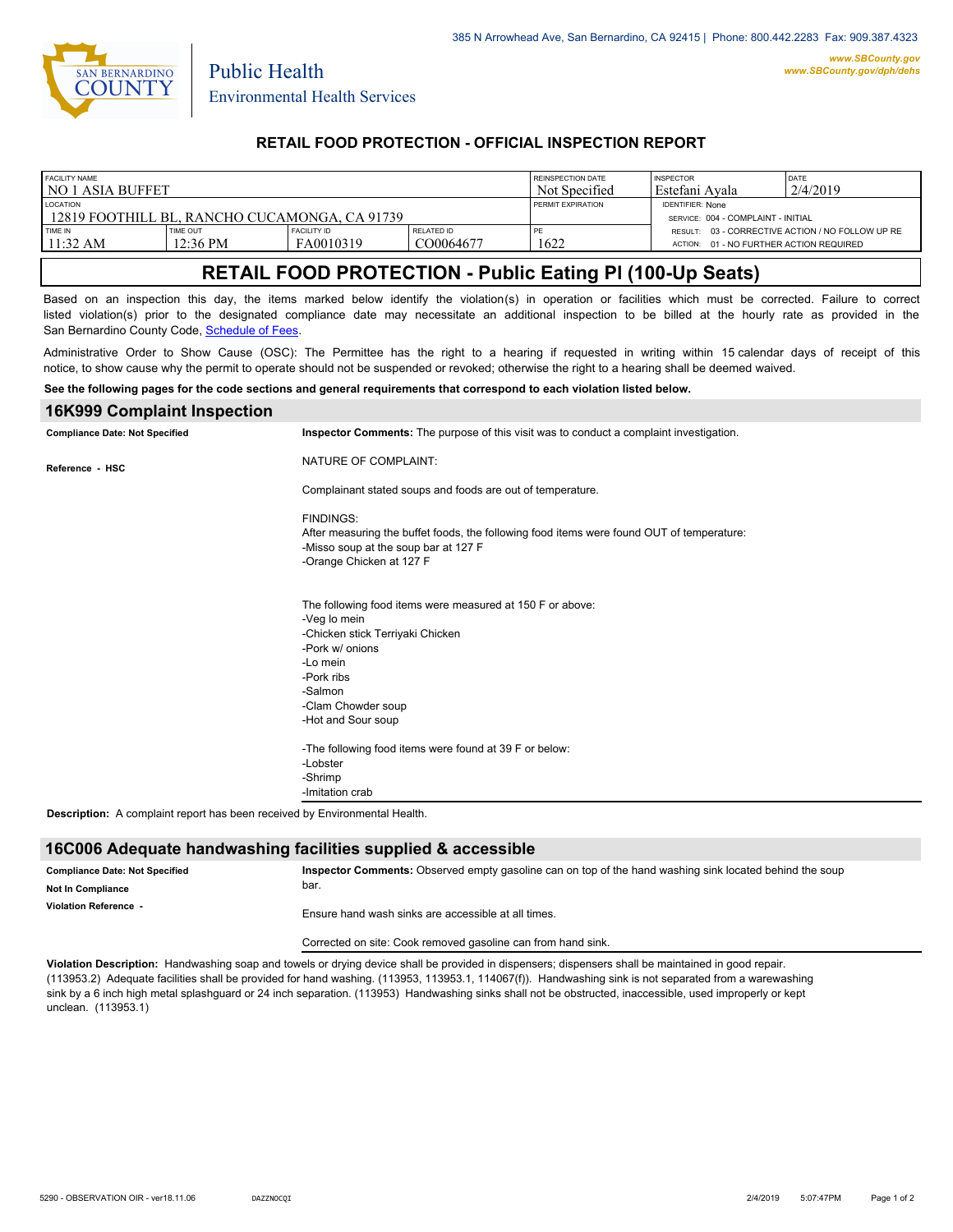

Public Health

## **RETAIL FOOD PROTECTION - OFFICIAL INSPECTION REPORT**

| <b>FACILITY NAME</b>                          |                    |                    |            | REINSPECTION DATE | <b>INSPECTOR</b>                        | DATE                                             |
|-----------------------------------------------|--------------------|--------------------|------------|-------------------|-----------------------------------------|--------------------------------------------------|
| l no 1 asia buffet                            |                    |                    |            | Not Specified     | l Estefani Avala                        | 2/4/2019                                         |
| <b>LOCATION</b>                               |                    |                    |            | PERMIT EXPIRATION | <b>IDENTIFIER: None</b>                 |                                                  |
| 12819 FOOTHILL BL. RANCHO CUCAMONGA. CA 91739 |                    |                    |            |                   | SERVICE: 004 - COMPLAINT - INITIAL      |                                                  |
| TIME IN                                       | TIME OUT           | <b>FACILITY ID</b> | RELATED ID | PE                |                                         | RESULT: 03 - CORRECTIVE ACTION / NO FOLLOW UP RE |
| $11:32 \text{ AM}$                            | $12:36 \text{ PM}$ | FA0010319          | CO0064677  | 1622              | ACTION: 01 - NO FURTHER ACTION REQUIRED |                                                  |

# **RETAIL FOOD PROTECTION - Public Eating Pl (100-Up Seats)**

Based on an inspection this day, the items marked below identify the violation(s) in operation or facilities which must be corrected. Failure to correct listed violation(s) prior to the designated compliance date may necessitate an additional inspection to be billed at the hourly rate as provided in the San Bernardino County Code, Schedule of Fees

Administrative Order to Show Cause (OSC): The Permittee has the right to a hearing if requested in writing within 15 calendar days of receipt of this notice, to show cause why the permit to operate should not be suspended or revoked; otherwise the right to a hearing shall be deemed waived.

#### **See the following pages for the code sections and general requirements that correspond to each violation listed below.**

| Inspector Comments: The purpose of this visit was to conduct a complaint investigation.<br><b>Compliance Date: Not Specified</b><br>NATURE OF COMPLAINT:<br>Reference - HSC<br>Complainant stated soups and foods are out of temperature.<br><b>FINDINGS:</b><br>After measuring the buffet foods, the following food items were found OUT of temperature: |
|------------------------------------------------------------------------------------------------------------------------------------------------------------------------------------------------------------------------------------------------------------------------------------------------------------------------------------------------------------|
|                                                                                                                                                                                                                                                                                                                                                            |
|                                                                                                                                                                                                                                                                                                                                                            |
|                                                                                                                                                                                                                                                                                                                                                            |
|                                                                                                                                                                                                                                                                                                                                                            |
| -Misso soup at the soup bar at 127 F                                                                                                                                                                                                                                                                                                                       |
| -Orange Chicken at 127 F                                                                                                                                                                                                                                                                                                                                   |
| The following food items were measured at 150 F or above:                                                                                                                                                                                                                                                                                                  |
| -Veg lo mein                                                                                                                                                                                                                                                                                                                                               |
| -Chicken stick Terriyaki Chicken                                                                                                                                                                                                                                                                                                                           |
| -Pork w/ onions                                                                                                                                                                                                                                                                                                                                            |
| -Lo mein                                                                                                                                                                                                                                                                                                                                                   |
| -Pork ribs                                                                                                                                                                                                                                                                                                                                                 |
| -Salmon                                                                                                                                                                                                                                                                                                                                                    |
| -Clam Chowder soup                                                                                                                                                                                                                                                                                                                                         |
| -Hot and Sour soup                                                                                                                                                                                                                                                                                                                                         |
| -The following food items were found at 39 F or below:                                                                                                                                                                                                                                                                                                     |
| -Lobster                                                                                                                                                                                                                                                                                                                                                   |
| -Shrimp                                                                                                                                                                                                                                                                                                                                                    |
| -Imitation crab                                                                                                                                                                                                                                                                                                                                            |

**Description:** A complaint report has been received by Environmental Health.

### **16C006 Adequate handwashing facilities supplied & accessible**

| <b>Compliance Date: Not Specified</b><br><b>Not In Compliance</b> | Inspector Comments: Observed empty gasoline can on top of the hand washing sink located behind the soup<br>bar. |  |  |
|-------------------------------------------------------------------|-----------------------------------------------------------------------------------------------------------------|--|--|
| Violation Reference -                                             | Ensure hand wash sinks are accessible at all times.                                                             |  |  |
|                                                                   |                                                                                                                 |  |  |

Corrected on site: Cook removed gasoline can from hand sink.

**Violation Description:** Handwashing soap and towels or drying device shall be provided in dispensers; dispensers shall be maintained in good repair. (113953.2) Adequate facilities shall be provided for hand washing. (113953, 113953.1, 114067(f)). Handwashing sink is not separated from a warewashing sink by a 6 inch high metal splashguard or 24 inch separation. (113953) Handwashing sinks shall not be obstructed, inaccessible, used improperly or kept unclean. (113953.1)